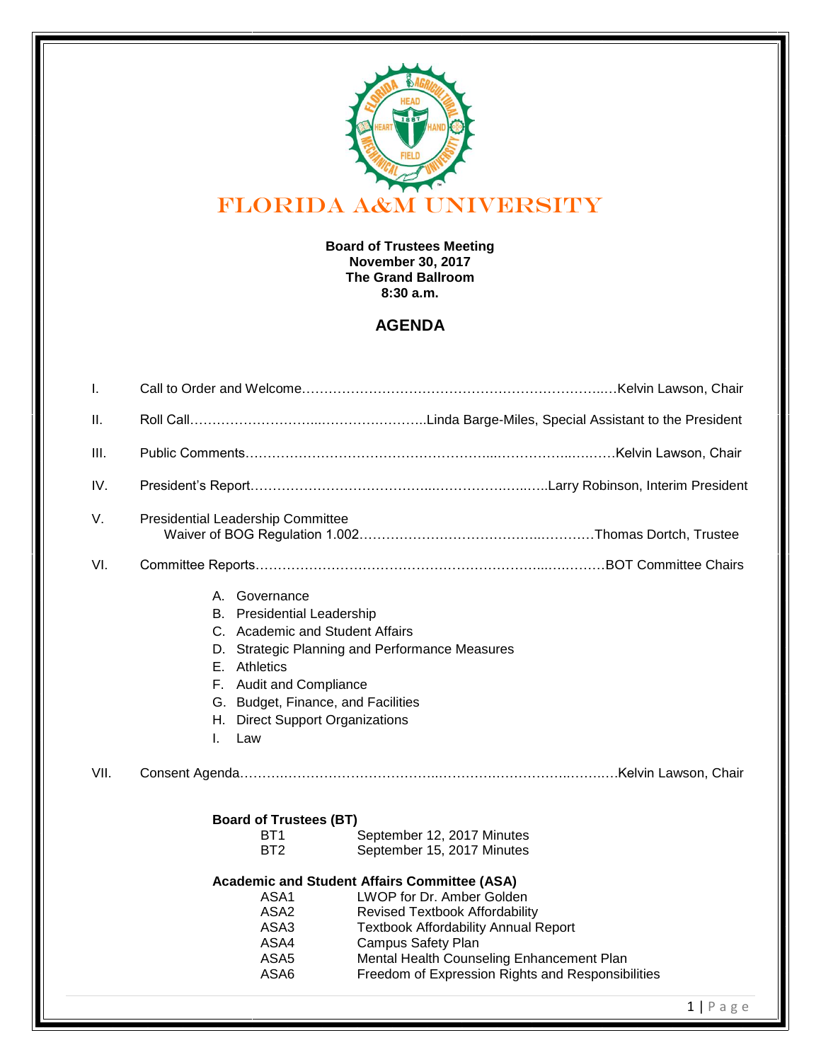

## **Board of Trustees Meeting November 30, 2017 The Grand Ballroom 8:30 a.m.**

## **AGENDA**

| I.   |                                                                                                                                                                                                                                                                                                                                                                                 |
|------|---------------------------------------------------------------------------------------------------------------------------------------------------------------------------------------------------------------------------------------------------------------------------------------------------------------------------------------------------------------------------------|
| H.   |                                                                                                                                                                                                                                                                                                                                                                                 |
| III. |                                                                                                                                                                                                                                                                                                                                                                                 |
| IV.  |                                                                                                                                                                                                                                                                                                                                                                                 |
| V.   | Presidential Leadership Committee                                                                                                                                                                                                                                                                                                                                               |
| VI.  |                                                                                                                                                                                                                                                                                                                                                                                 |
| VII. | A. Governance<br><b>B.</b> Presidential Leadership<br>C. Academic and Student Affairs<br>D. Strategic Planning and Performance Measures<br>E. Athletics<br>F. Audit and Compliance<br>G. Budget, Finance, and Facilities<br>H. Direct Support Organizations<br>Law<br>L.                                                                                                        |
|      | <b>Board of Trustees (BT)</b>                                                                                                                                                                                                                                                                                                                                                   |
|      | BT <sub>1</sub><br>September 12, 2017 Minutes                                                                                                                                                                                                                                                                                                                                   |
|      | BT <sub>2</sub><br>September 15, 2017 Minutes                                                                                                                                                                                                                                                                                                                                   |
|      | <b>Academic and Student Affairs Committee (ASA)</b><br>LWOP for Dr. Amber Golden<br>ASA1<br>ASA <sub>2</sub><br><b>Revised Textbook Affordability</b><br>ASA3<br><b>Textbook Affordability Annual Report</b><br>ASA4<br><b>Campus Safety Plan</b><br>ASA <sub>5</sub><br>Mental Health Counseling Enhancement Plan<br>ASA6<br>Freedom of Expression Rights and Responsibilities |
|      |                                                                                                                                                                                                                                                                                                                                                                                 |